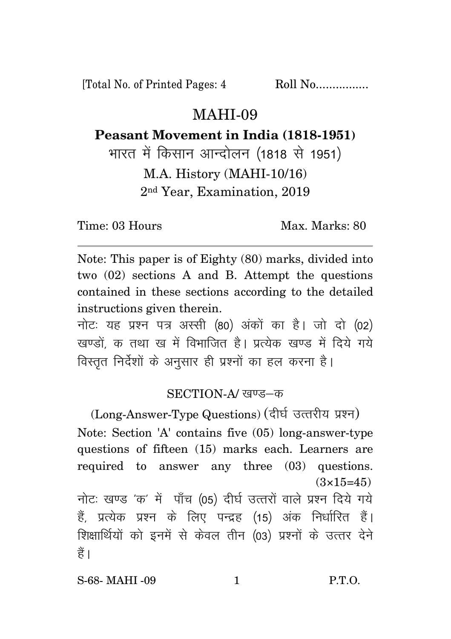[Total No. of Printed Pages: 4 Roll No.................

## MAHI-09

## **Peasant Movement in India (1818-1951)**

भारत में किसान आन्दोलन (1818 से 1951) M.A. History (MAHI-10/16) 2nd Year, Examination, 2019

Time: 03 Hours Max. Marks: 80

Note: This paper is of Eighty (80) marks, divided into two (02) sections A and B. Attempt the questions contained in these sections according to the detailed instructions given therein.

नोट: यह प्रश्न पत्र अस्सी (80) अंकों का है। जो दो (02) खण्डों क तथा ख में विभाजित है। प्रत्येक खण्ड में दिये गये विस्तृत निर्देशों के अनुसार ही प्रश्नों का हल करना है।

## SECTION-A/ खण्ड—क

(Long-Answer-Type Questions) (दीर्घ उत्तरीय प्रश्न) Note: Section 'A' contains five (05) long-answer-type questions of fifteen (15) marks each. Learners are required to answer any three (03) questions.  $(3\times15=45)$ नोटः खण्ड 'क' में पाँच (05) दीर्घ उत्तरों वाले प्रश्न दिये गये हैं. प्रत्येक प्रश्न के लिए पन्द्रह (15) अंक निर्धारित हैं। शिक्षार्थियों को इनमें से केवल तीन (03) प्रश्नों के उत्तर देने हैं।

S-68- MAHI -09 1 P.T.O.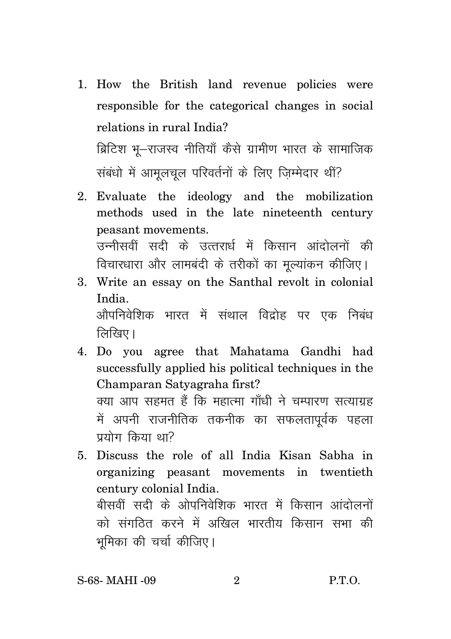- 1. How the British land revenue policies were responsible for the categorical changes in social relations in rural India? ब्रिटिश भू–राजस्व नीतियाँ कैसे ग्रामीण भारत के सामाजिक संबंधो में आमलचल परिवर्तनों के लिए जिम्मेदार थीं?
- 2. Evaluate the ideology and the mobilization methods used in the late nineteenth century peasant movements. उन्नीसवीं सदी के उत्तरार्ध में किसान आंदोलनों की विचारधारा और लामबंदी के तरीकों का मुल्यांकन कीजिए।
- 3. Write an essay on the Santhal revolt in colonial India <u>औपनिवेशिक भारत में संथाल विदोह पर एक निबंध</u> लिखिए।
- 4. Do you agree that Mahatama Gandhi had successfully applied his political techniques in the Champaran Satyagraha first? क्या आप सहमत हैं कि महात्मा गाँधी ने चम्पारण सत्याग्रह में अपनी राजनीतिक तकनीक का सफलतापूर्वक पहला  $\pi$ गराोग किया था?
- 5. Discuss the role of all India Kisan Sabha in organizing peasant movements in twentieth century colonial India. बीसवीं सदी के ओपनिवेशिक भारत में किसान आंदोलनों को संगठित करने में अखिल भारतीय किसान सभा की भूमिका की चर्चा कीजिए।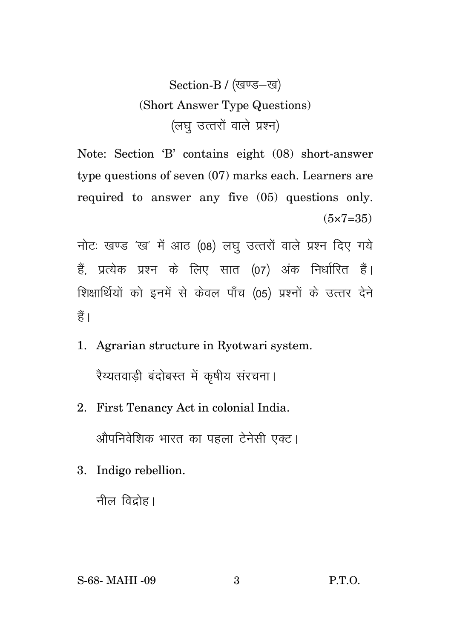Section-B / (खण्ड-ख) (Short Answer Type Questions) (लघ उत्तरों वाले प्रश्न)

Note: Section 'B' contains eight (08) short-answer type questions of seven  $(07)$  marks each. Learners are required to answer any five (05) questions only.  $(5 \times 7 = 35)$ 

नोटः खण्ड 'ख' में आठ (08) लघु उत्तरों वाले प्रश्न दिए गये हैं. प्रत्येक प्रश्न के लिए सात (07) अंक निर्धारित हैं। शिक्षार्थियों को इनमें से केवल पाँच (05) प्रश्नों के उत्तर देने हैं।

1. Agrarian structure in Ryotwari system.

रैय्यतवाडी बंदोबस्त में कृषीय संरचना।

- 2. First Tenancy Act in colonial India. औपनिवेशिक भारत का पहला टेनेसी एक्ट।
- 3. Indigo rebellion.

नील विद्रोह।

S-68- MAHI -09